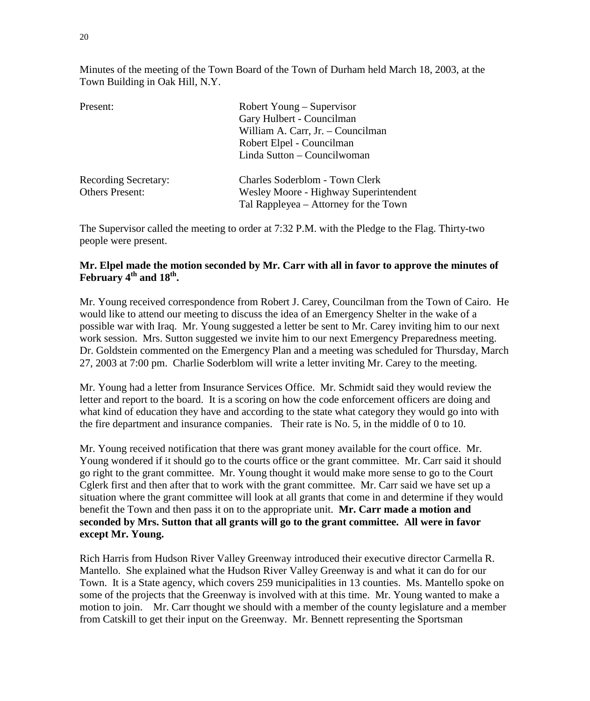Minutes of the meeting of the Town Board of the Town of Durham held March 18, 2003, at the Town Building in Oak Hill, N.Y.

| Present:                    | Robert Young – Supervisor             |  |
|-----------------------------|---------------------------------------|--|
|                             | Gary Hulbert - Councilman             |  |
|                             | William A. Carr, Jr. - Councilman     |  |
|                             | Robert Elpel - Councilman             |  |
|                             | Linda Sutton – Councilwoman           |  |
| <b>Recording Secretary:</b> | Charles Soderblom - Town Clerk        |  |
| <b>Others Present:</b>      | Wesley Moore - Highway Superintendent |  |
|                             | Tal Rappleyea – Attorney for the Town |  |

The Supervisor called the meeting to order at 7:32 P.M. with the Pledge to the Flag. Thirty-two people were present.

## **Mr. Elpel made the motion seconded by Mr. Carr with all in favor to approve the minutes of**  February 4<sup>th</sup> and 18<sup>th</sup>.

Mr. Young received correspondence from Robert J. Carey, Councilman from the Town of Cairo. He would like to attend our meeting to discuss the idea of an Emergency Shelter in the wake of a possible war with Iraq. Mr. Young suggested a letter be sent to Mr. Carey inviting him to our next work session. Mrs. Sutton suggested we invite him to our next Emergency Preparedness meeting. Dr. Goldstein commented on the Emergency Plan and a meeting was scheduled for Thursday, March 27, 2003 at 7:00 pm. Charlie Soderblom will write a letter inviting Mr. Carey to the meeting.

Mr. Young had a letter from Insurance Services Office. Mr. Schmidt said they would review the letter and report to the board. It is a scoring on how the code enforcement officers are doing and what kind of education they have and according to the state what category they would go into with the fire department and insurance companies. Their rate is No. 5, in the middle of 0 to 10.

Mr. Young received notification that there was grant money available for the court office. Mr. Young wondered if it should go to the courts office or the grant committee. Mr. Carr said it should go right to the grant committee. Mr. Young thought it would make more sense to go to the Court Cglerk first and then after that to work with the grant committee. Mr. Carr said we have set up a situation where the grant committee will look at all grants that come in and determine if they would benefit the Town and then pass it on to the appropriate unit. **Mr. Carr made a motion and seconded by Mrs. Sutton that all grants will go to the grant committee. All were in favor except Mr. Young.**

Rich Harris from Hudson River Valley Greenway introduced their executive director Carmella R. Mantello. She explained what the Hudson River Valley Greenway is and what it can do for our Town. It is a State agency, which covers 259 municipalities in 13 counties. Ms. Mantello spoke on some of the projects that the Greenway is involved with at this time. Mr. Young wanted to make a motion to join. Mr. Carr thought we should with a member of the county legislature and a member from Catskill to get their input on the Greenway. Mr. Bennett representing the Sportsman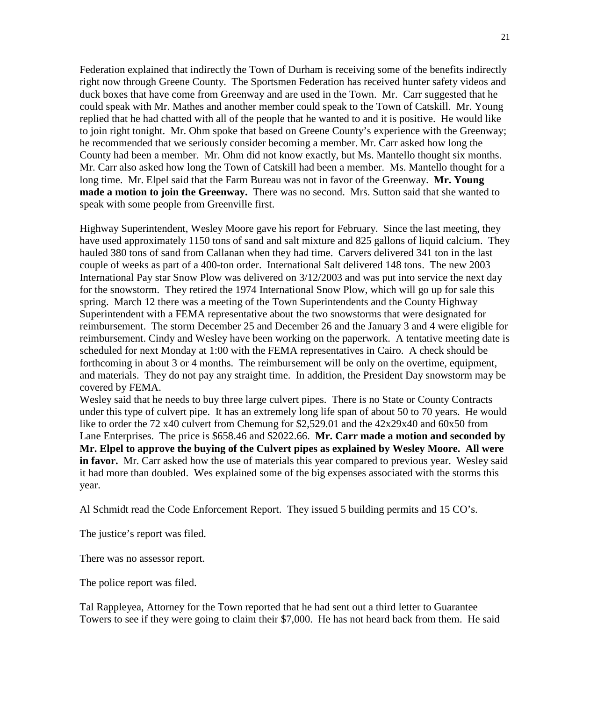Federation explained that indirectly the Town of Durham is receiving some of the benefits indirectly right now through Greene County. The Sportsmen Federation has received hunter safety videos and duck boxes that have come from Greenway and are used in the Town. Mr. Carr suggested that he could speak with Mr. Mathes and another member could speak to the Town of Catskill. Mr. Young replied that he had chatted with all of the people that he wanted to and it is positive. He would like to join right tonight. Mr. Ohm spoke that based on Greene County's experience with the Greenway; he recommended that we seriously consider becoming a member. Mr. Carr asked how long the County had been a member. Mr. Ohm did not know exactly, but Ms. Mantello thought six months. Mr. Carr also asked how long the Town of Catskill had been a member. Ms. Mantello thought for a long time. Mr. Elpel said that the Farm Bureau was not in favor of the Greenway. **Mr. Young made a motion to join the Greenway.** There was no second. Mrs. Sutton said that she wanted to speak with some people from Greenville first.

Highway Superintendent, Wesley Moore gave his report for February. Since the last meeting, they have used approximately 1150 tons of sand and salt mixture and 825 gallons of liquid calcium. They hauled 380 tons of sand from Callanan when they had time. Carvers delivered 341 ton in the last couple of weeks as part of a 400-ton order. International Salt delivered 148 tons. The new 2003 International Pay star Snow Plow was delivered on 3/12/2003 and was put into service the next day for the snowstorm. They retired the 1974 International Snow Plow, which will go up for sale this spring. March 12 there was a meeting of the Town Superintendents and the County Highway Superintendent with a FEMA representative about the two snowstorms that were designated for reimbursement. The storm December 25 and December 26 and the January 3 and 4 were eligible for reimbursement. Cindy and Wesley have been working on the paperwork. A tentative meeting date is scheduled for next Monday at 1:00 with the FEMA representatives in Cairo. A check should be forthcoming in about 3 or 4 months. The reimbursement will be only on the overtime, equipment, and materials. They do not pay any straight time. In addition, the President Day snowstorm may be covered by FEMA.

Wesley said that he needs to buy three large culvert pipes. There is no State or County Contracts under this type of culvert pipe. It has an extremely long life span of about 50 to 70 years. He would like to order the 72 x40 culvert from Chemung for \$2,529.01 and the  $42x29x40$  and  $60x50$  from Lane Enterprises. The price is \$658.46 and \$2022.66. **Mr. Carr made a motion and seconded by Mr. Elpel to approve the buying of the Culvert pipes as explained by Wesley Moore. All were in favor.** Mr. Carr asked how the use of materials this year compared to previous year. Wesley said it had more than doubled. Wes explained some of the big expenses associated with the storms this year.

Al Schmidt read the Code Enforcement Report. They issued 5 building permits and 15 CO's.

The justice's report was filed.

There was no assessor report.

The police report was filed.

Tal Rappleyea, Attorney for the Town reported that he had sent out a third letter to Guarantee Towers to see if they were going to claim their \$7,000. He has not heard back from them. He said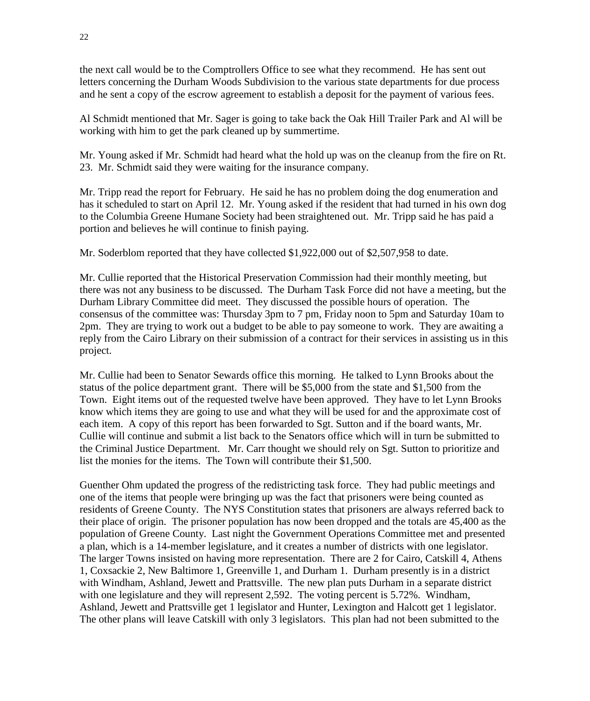the next call would be to the Comptrollers Office to see what they recommend. He has sent out letters concerning the Durham Woods Subdivision to the various state departments for due process and he sent a copy of the escrow agreement to establish a deposit for the payment of various fees.

Al Schmidt mentioned that Mr. Sager is going to take back the Oak Hill Trailer Park and Al will be working with him to get the park cleaned up by summertime.

Mr. Young asked if Mr. Schmidt had heard what the hold up was on the cleanup from the fire on Rt. 23. Mr. Schmidt said they were waiting for the insurance company.

Mr. Tripp read the report for February. He said he has no problem doing the dog enumeration and has it scheduled to start on April 12. Mr. Young asked if the resident that had turned in his own dog to the Columbia Greene Humane Society had been straightened out. Mr. Tripp said he has paid a portion and believes he will continue to finish paying.

Mr. Soderblom reported that they have collected \$1,922,000 out of \$2,507,958 to date.

Mr. Cullie reported that the Historical Preservation Commission had their monthly meeting, but there was not any business to be discussed. The Durham Task Force did not have a meeting, but the Durham Library Committee did meet. They discussed the possible hours of operation. The consensus of the committee was: Thursday 3pm to 7 pm, Friday noon to 5pm and Saturday 10am to 2pm. They are trying to work out a budget to be able to pay someone to work. They are awaiting a reply from the Cairo Library on their submission of a contract for their services in assisting us in this project.

Mr. Cullie had been to Senator Sewards office this morning. He talked to Lynn Brooks about the status of the police department grant. There will be \$5,000 from the state and \$1,500 from the Town. Eight items out of the requested twelve have been approved. They have to let Lynn Brooks know which items they are going to use and what they will be used for and the approximate cost of each item. A copy of this report has been forwarded to Sgt. Sutton and if the board wants, Mr. Cullie will continue and submit a list back to the Senators office which will in turn be submitted to the Criminal Justice Department. Mr. Carr thought we should rely on Sgt. Sutton to prioritize and list the monies for the items. The Town will contribute their \$1,500.

Guenther Ohm updated the progress of the redistricting task force. They had public meetings and one of the items that people were bringing up was the fact that prisoners were being counted as residents of Greene County. The NYS Constitution states that prisoners are always referred back to their place of origin. The prisoner population has now been dropped and the totals are 45,400 as the population of Greene County. Last night the Government Operations Committee met and presented a plan, which is a 14-member legislature, and it creates a number of districts with one legislator. The larger Towns insisted on having more representation. There are 2 for Cairo, Catskill 4, Athens 1, Coxsackie 2, New Baltimore 1, Greenville 1, and Durham 1. Durham presently is in a district with Windham, Ashland, Jewett and Prattsville. The new plan puts Durham in a separate district with one legislature and they will represent 2,592. The voting percent is 5.72%. Windham, Ashland, Jewett and Prattsville get 1 legislator and Hunter, Lexington and Halcott get 1 legislator. The other plans will leave Catskill with only 3 legislators. This plan had not been submitted to the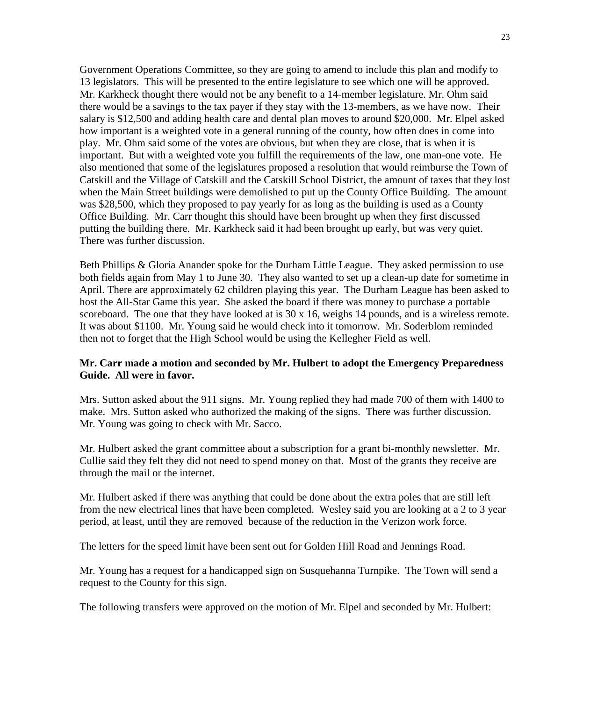Government Operations Committee, so they are going to amend to include this plan and modify to 13 legislators. This will be presented to the entire legislature to see which one will be approved. Mr. Karkheck thought there would not be any benefit to a 14-member legislature. Mr. Ohm said there would be a savings to the tax payer if they stay with the 13-members, as we have now. Their salary is \$12,500 and adding health care and dental plan moves to around \$20,000. Mr. Elpel asked how important is a weighted vote in a general running of the county, how often does in come into play. Mr. Ohm said some of the votes are obvious, but when they are close, that is when it is important. But with a weighted vote you fulfill the requirements of the law, one man-one vote. He also mentioned that some of the legislatures proposed a resolution that would reimburse the Town of Catskill and the Village of Catskill and the Catskill School District, the amount of taxes that they lost when the Main Street buildings were demolished to put up the County Office Building. The amount was \$28,500, which they proposed to pay yearly for as long as the building is used as a County Office Building. Mr. Carr thought this should have been brought up when they first discussed putting the building there. Mr. Karkheck said it had been brought up early, but was very quiet. There was further discussion.

Beth Phillips & Gloria Anander spoke for the Durham Little League. They asked permission to use both fields again from May 1 to June 30. They also wanted to set up a clean-up date for sometime in April. There are approximately 62 children playing this year. The Durham League has been asked to host the All-Star Game this year. She asked the board if there was money to purchase a portable scoreboard. The one that they have looked at is 30 x 16, weighs 14 pounds, and is a wireless remote. It was about \$1100. Mr. Young said he would check into it tomorrow. Mr. Soderblom reminded then not to forget that the High School would be using the Kellegher Field as well.

## **Mr. Carr made a motion and seconded by Mr. Hulbert to adopt the Emergency Preparedness Guide. All were in favor.**

Mrs. Sutton asked about the 911 signs. Mr. Young replied they had made 700 of them with 1400 to make. Mrs. Sutton asked who authorized the making of the signs. There was further discussion. Mr. Young was going to check with Mr. Sacco.

Mr. Hulbert asked the grant committee about a subscription for a grant bi-monthly newsletter. Mr. Cullie said they felt they did not need to spend money on that. Most of the grants they receive are through the mail or the internet.

Mr. Hulbert asked if there was anything that could be done about the extra poles that are still left from the new electrical lines that have been completed. Wesley said you are looking at a 2 to 3 year period, at least, until they are removed because of the reduction in the Verizon work force.

The letters for the speed limit have been sent out for Golden Hill Road and Jennings Road.

Mr. Young has a request for a handicapped sign on Susquehanna Turnpike. The Town will send a request to the County for this sign.

The following transfers were approved on the motion of Mr. Elpel and seconded by Mr. Hulbert: